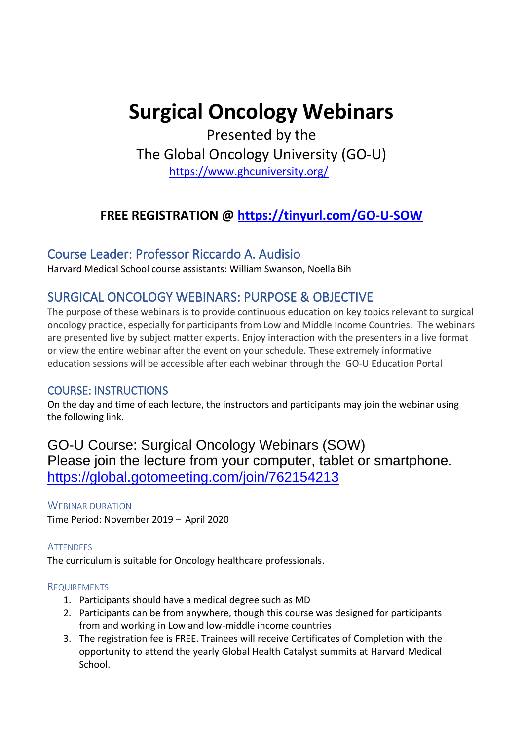# **Surgical Oncology Webinars**

Presented by the

The Global Oncology University (GO-U)

<https://www.ghcuniversity.org/>

# **FREE REGISTRATION @ <https://tinyurl.com/GO-U-SOW>**

## Course Leader: Professor Riccardo A. Audisio

Harvard Medical School course assistants: William Swanson, Noella Bih

# SURGICAL ONCOLOGY WEBINARS: PURPOSE & OBJECTIVE

The purpose of these webinars is to provide continuous education on key topics relevant to surgical oncology practice, especially for participants from Low and Middle Income Countries. The webinars are presented live by subject matter experts. Enjoy interaction with the presenters in a live format or view the entire webinar after the event on your schedule. These extremely informative education sessions will be accessible after each webinar through the GO-U Education Portal

## COURSE: INSTRUCTIONS

On the day and time of each lecture, the instructors and participants may join the webinar using the following link.

GO-U Course: Surgical Oncology Webinars (SOW) Please join the lecture from your computer, tablet or smartphone. <https://global.gotomeeting.com/join/762154213>

## WEBINAR DURATION

Time Period: November 2019 – April 2020

## **ATTENDEES**

The curriculum is suitable for Oncology healthcare professionals.

#### REQUIREMENTS

- 1. Participants should have a medical degree such as MD
- 2. Participants can be from anywhere, though this course was designed for participants from and working in Low and low-middle income countries
- 3. The registration fee is FREE. Trainees will receive Certificates of Completion with the opportunity to attend the yearly Global Health Catalyst summits at Harvard Medical School.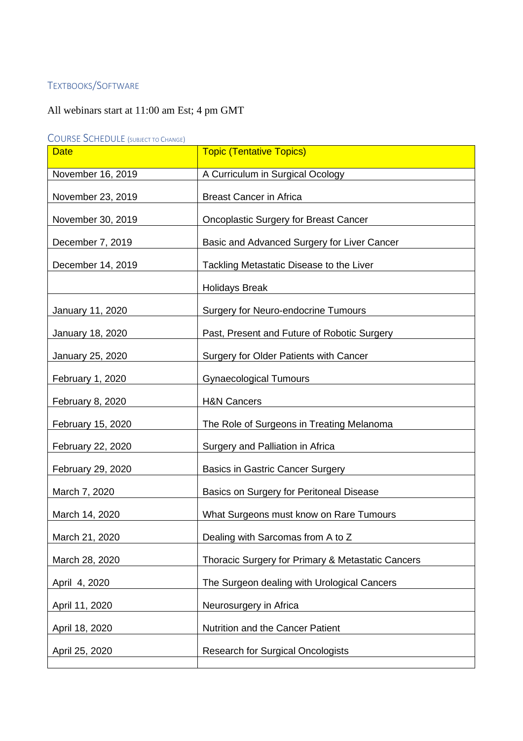## TEXTBOOKS/SOFTWARE

## All webinars start at 11:00 am Est; 4 pm GMT

**COURSE SCHEDULE** (SUBJECT TO CHANGE)

| <b>Date</b>       | <b>Topic (Tentative Topics)</b>                   |
|-------------------|---------------------------------------------------|
| November 16, 2019 | A Curriculum in Surgical Ocology                  |
| November 23, 2019 | <b>Breast Cancer in Africa</b>                    |
| November 30, 2019 | <b>Oncoplastic Surgery for Breast Cancer</b>      |
| December 7, 2019  | Basic and Advanced Surgery for Liver Cancer       |
| December 14, 2019 | Tackling Metastatic Disease to the Liver          |
|                   | <b>Holidays Break</b>                             |
| January 11, 2020  | <b>Surgery for Neuro-endocrine Tumours</b>        |
| January 18, 2020  | Past, Present and Future of Robotic Surgery       |
| January 25, 2020  | Surgery for Older Patients with Cancer            |
| February 1, 2020  | <b>Gynaecological Tumours</b>                     |
| February 8, 2020  | <b>H&amp;N Cancers</b>                            |
| February 15, 2020 | The Role of Surgeons in Treating Melanoma         |
| February 22, 2020 | Surgery and Palliation in Africa                  |
| February 29, 2020 | <b>Basics in Gastric Cancer Surgery</b>           |
| March 7, 2020     | Basics on Surgery for Peritoneal Disease          |
| March 14, 2020    | What Surgeons must know on Rare Tumours           |
| March 21, 2020    | Dealing with Sarcomas from A to Z                 |
| March 28, 2020    | Thoracic Surgery for Primary & Metastatic Cancers |
| April 4, 2020     | The Surgeon dealing with Urological Cancers       |
| April 11, 2020    | Neurosurgery in Africa                            |
| April 18, 2020    | Nutrition and the Cancer Patient                  |
| April 25, 2020    | <b>Research for Surgical Oncologists</b>          |